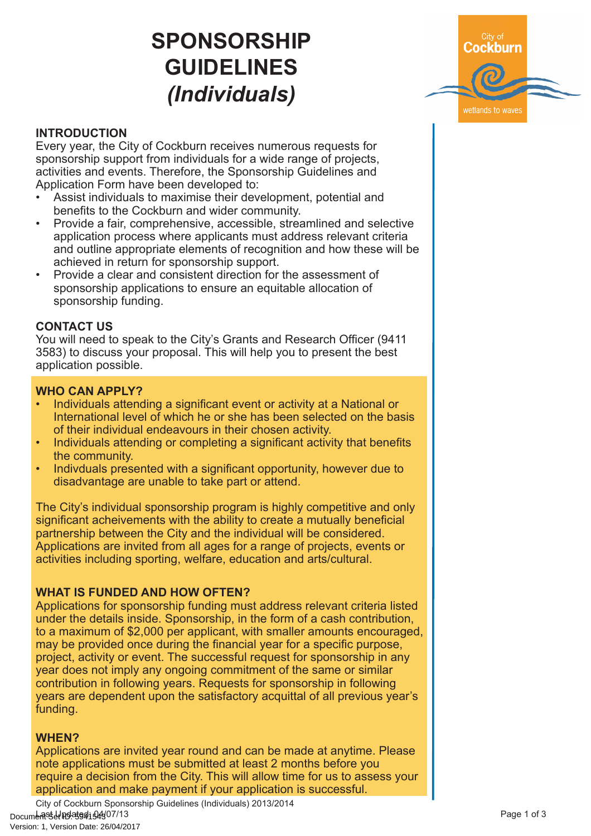# **SPONSORSHIP GUIDELINES** *(Individuals)*



# **INTRODUCTION**

Every year, the City of Cockburn receives numerous requests for sponsorship support from individuals for a wide range of projects, activities and events. Therefore, the Sponsorship Guidelines and Application Form have been developed to:

- Assist individuals to maximise their development, potential and benefits to the Cockburn and wider community.
- Provide a fair, comprehensive, accessible, streamlined and selective application process where applicants must address relevant criteria and outline appropriate elements of recognition and how these will be achieved in return for sponsorship support.
- Provide a clear and consistent direction for the assessment of sponsorship applications to ensure an equitable allocation of sponsorship funding.

## **CONTACT US**

You will need to speak to the City's Grants and Research Officer (9411 3583) to discuss your proposal. This will help you to present the best application possible.

### **WHO CAN APPLY?**

- Individuals attending a significant event or activity at a National or International level of which he or she has been selected on the basis of their individual endeavours in their chosen activity.
- Individuals attending or completing a significant activity that benefits the community.
- Indivduals presented with a significant opportunity, however due to disadvantage are unable to take part or attend.

The City's individual sponsorship program is highly competitive and only significant acheivements with the ability to create a mutually beneficial partnership between the City and the individual will be considered. Applications are invited from all ages for a range of projects, events or activities including sporting, welfare, education and arts/cultural.

### **WHAT IS FUNDED AND HOW OFTEN?**

Applications for sponsorship funding must address relevant criteria listed under the details inside. Sponsorship, in the form of a cash contribution, to a maximum of \$2,000 per applicant, with smaller amounts encouraged, may be provided once during the financial year for a specific purpose, project, activity or event. The successful request for sponsorship in any year does not imply any ongoing commitment of the same or similar contribution in following years. Requests for sponsorship in following years are dependent upon the satisfactory acquittal of all previous year's funding.

### **WHEN?**

Applications are invited year round and can be made at anytime. Please note applications must be submitted at least 2 months before you require a decision from the City. This will allow time for us to assess your application and make payment if your application is successful.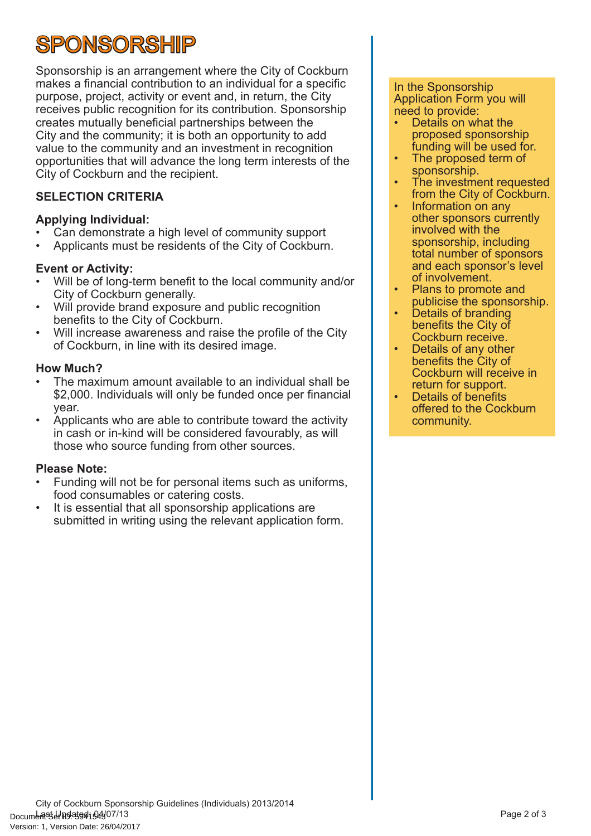# **SPONSORSHIP**

Sponsorship is an arrangement where the City of Cockburn makes a financial contribution to an individual for a specific purpose, project, activity or event and, in return, the City receives public recognition for its contribution. Sponsorship creates mutually beneficial partnerships between the City and the community; it is both an opportunity to add value to the community and an investment in recognition opportunities that will advance the long term interests of the City of Cockburn and the recipient.

# **SELECTION CRITERIA**

## **Applying Individual:**

- Can demonstrate a high level of community support
- Applicants must be residents of the City of Cockburn.

## **Event or Activity:**

- Will be of long-term benefit to the local community and/or City of Cockburn generally.
- Will provide brand exposure and public recognition benefits to the City of Cockburn.
- Will increase awareness and raise the profile of the City of Cockburn, in line with its desired image.

### **How Much?**

- The maximum amount available to an individual shall be \$2,000. Individuals will only be funded once per financial year.
- Applicants who are able to contribute toward the activity in cash or in-kind will be considered favourably, as will those who source funding from other sources.

# **Please Note:**

- Funding will not be for personal items such as uniforms, food consumables or catering costs.
- It is essential that all sponsorship applications are submitted in writing using the relevant application form.

### In the Sponsorship Application Form you will need to provide:

- Details on what the proposed sponsorship funding will be used for.
- The proposed term of sponsorship.
- The investment requested from the City of Cockburn.
- Information on any other sponsors currently involved with the sponsorship, including total number of sponsors and each sponsor's level of involvement.
- Plans to promote and publicise the sponsorship.
- Details of branding benefits the City of Cockburn receive.
- Details of any other benefits the City of Cockburn will receive in return for support.
- Details of benefits offered to the Cockburn community.